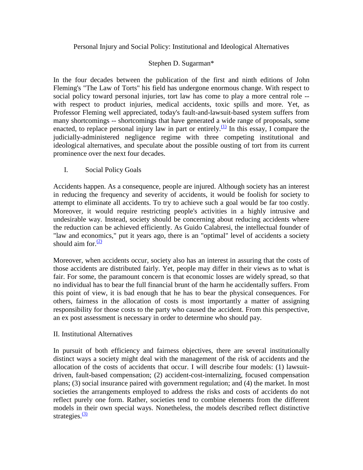## Personal Injury and Social Policy: Institutional and Ideological Alternatives

# Stephen D. Sugarman\*

In the four decades between the publication of the first and ninth editions of John Fleming's "The Law of Torts" his field has undergone enormous change. With respect to social policy toward personal injuries, tort law has come to play a more central role - with respect to product injuries, medical accidents, toxic spills and more. Yet, as Professor Fleming well appreciated, today's fault-and-lawsuit-based system suffers from many shortcomings -- shortcomings that have generated a wide range of proposals, some enacted, to replace personal injury law in part or entirely.<sup>[\(1\)](http://www.law.berkeley.edu/faculty/sugarmans/Linden.htm#N_1_)</sup> In this essay, I compare the judicially-administered negligence regime with three competing institutional and ideological alternatives, and speculate about the possible ousting of tort from its current prominence over the next four decades.

## I. Social Policy Goals

Accidents happen. As a consequence, people are injured. Although society has an interest in reducing the frequency and severity of accidents, it would be foolish for society to attempt to eliminate all accidents. To try to achieve such a goal would be far too costly. Moreover, it would require restricting people's activities in a highly intrusive and undesirable way. Instead, society should be concerning about reducing accidents where the reduction can be achieved efficiently. As Guido Calabresi, the intellectual founder of "law and economics," put it years ago, there is an "optimal" level of accidents a society should aim for. $\frac{(2)}{2}$ 

Moreover, when accidents occur, society also has an interest in assuring that the costs of those accidents are distributed fairly. Yet, people may differ in their views as to what is fair. For some, the paramount concern is that economic losses are widely spread, so that no individual has to bear the full financial brunt of the harm he accidentally suffers. From this point of view, it is bad enough that he has to bear the physical consequences. For others, fairness in the allocation of costs is most importantly a matter of assigning responsibility for those costs to the party who caused the accident. From this perspective, an ex post assessment is necessary in order to determine who should pay.

## II. Institutional Alternatives

In pursuit of both efficiency and fairness objectives, there are several institutionally distinct ways a society might deal with the management of the risk of accidents and the allocation of the costs of accidents that occur. I will describe four models: (1) lawsuitdriven, fault-based compensation; (2) accident-cost-internalizing, focused compensation plans; (3) social insurance paired with government regulation; and (4) the market. In most societies the arrangements employed to address the risks and costs of accidents do not reflect purely one form. Rather, societies tend to combine elements from the different models in their own special ways. Nonetheless, the models described reflect distinctive strategies. $\frac{(3)}{2}$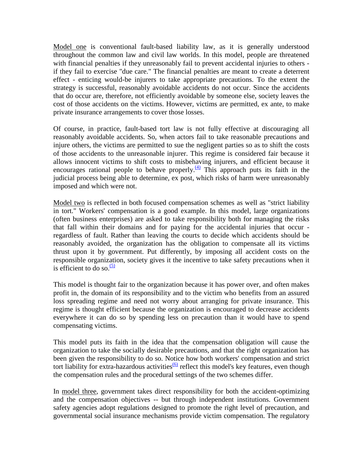Model one is conventional fault-based liability law, as it is generally understood throughout the common law and civil law worlds. In this model, people are threatened with financial penalties if they unreasonably fail to prevent accidental injuries to others if they fail to exercise "due care." The financial penalties are meant to create a deterrent effect - enticing would-be injurers to take appropriate precautions. To the extent the strategy is successful, reasonably avoidable accidents do not occur. Since the accidents that do occur are, therefore, not efficiently avoidable by someone else, society leaves the cost of those accidents on the victims. However, victims are permitted, ex ante, to make private insurance arrangements to cover those losses.

Of course, in practice, fault-based tort law is not fully effective at discouraging all reasonably avoidable accidents. So, when actors fail to take reasonable precautions and injure others, the victims are permitted to sue the negligent parties so as to shift the costs of those accidents to the unreasonable injurer. This regime is considered fair because it allows innocent victims to shift costs to misbehaving injurers, and efficient because it encourages rational people to behave properly.<sup>(4)</sup> This approach puts its faith in the judicial process being able to determine, ex post, which risks of harm were unreasonably imposed and which were not.

Model two is reflected in both focused compensation schemes as well as "strict liability in tort." Workers' compensation is a good example. In this model, large organizations (often business enterprises) are asked to take responsibility both for managing the risks that fall within their domains and for paying for the accidental injuries that occur regardless of fault. Rather than leaving the courts to decide which accidents should be reasonably avoided, the organization has the obligation to compensate all its victims thrust upon it by government. Put differently, by imposing all accident costs on the responsible organization, society gives it the incentive to take safety precautions when it is efficient to do so. $\frac{(5)}{2}$ 

This model is thought fair to the organization because it has power over, and often makes profit in, the domain of its responsibility and to the victim who benefits from an assured loss spreading regime and need not worry about arranging for private insurance. This regime is thought efficient because the organization is encouraged to decrease accidents everywhere it can do so by spending less on precaution than it would have to spend compensating victims.

This model puts its faith in the idea that the compensation obligation will cause the organization to take the socially desirable precautions, and that the right organization has been given the responsibility to do so. Notice how both workers' compensation and strict tort liability for extra-hazardous activities<sup>[\(6\)](http://www.law.berkeley.edu/faculty/sugarmans/Linden.htm#N_6_)</sup> reflect this model's key features, even though the compensation rules and the procedural settings of the two schemes differ.

In model three, government takes direct responsibility for both the accident-optimizing and the compensation objectives -- but through independent institutions. Government safety agencies adopt regulations designed to promote the right level of precaution, and governmental social insurance mechanisms provide victim compensation. The regulatory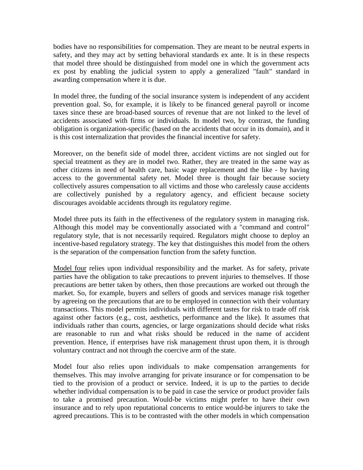bodies have no responsibilities for compensation. They are meant to be neutral experts in safety, and they may act by setting behavioral standards ex ante. It is in these respects that model three should be distinguished from model one in which the government acts ex post by enabling the judicial system to apply a generalized "fault" standard in awarding compensation where it is due.

In model three, the funding of the social insurance system is independent of any accident prevention goal. So, for example, it is likely to be financed general payroll or income taxes since these are broad-based sources of revenue that are not linked to the level of accidents associated with firms or individuals. In model two, by contrast, the funding obligation is organization-specific (based on the accidents that occur in its domain), and it is this cost internalization that provides the financial incentive for safety.

Moreover, on the benefit side of model three, accident victims are not singled out for special treatment as they are in model two. Rather, they are treated in the same way as other citizens in need of health care, basic wage replacement and the like - by having access to the governmental safety net. Model three is thought fair because society collectively assures compensation to all victims and those who carelessly cause accidents are collectively punished by a regulatory agency, and efficient because society discourages avoidable accidents through its regulatory regime.

Model three puts its faith in the effectiveness of the regulatory system in managing risk. Although this model may be conventionally associated with a "command and control" regulatory style, that is not necessarily required. Regulators might choose to deploy an incentive-based regulatory strategy. The key that distinguishes this model from the others is the separation of the compensation function from the safety function.

Model four relies upon individual responsibility and the market. As for safety, private parties have the obligation to take precautions to prevent injuries to themselves. If those precautions are better taken by others, then those precautions are worked out through the market. So, for example, buyers and sellers of goods and services manage risk together by agreeing on the precautions that are to be employed in connection with their voluntary transactions. This model permits individuals with different tastes for risk to trade off risk against other factors (e.g., cost, aesthetics, performance and the like). It assumes that individuals rather than courts, agencies, or large organizations should decide what risks are reasonable to run and what risks should be reduced in the name of accident prevention. Hence, if enterprises have risk management thrust upon them, it is through voluntary contract and not through the coercive arm of the state.

Model four also relies upon individuals to make compensation arrangements for themselves. This may involve arranging for private insurance or for compensation to be tied to the provision of a product or service. Indeed, it is up to the parties to decide whether individual compensation is to be paid in case the service or product provider fails to take a promised precaution. Would-be victims might prefer to have their own insurance and to rely upon reputational concerns to entice would-be injurers to take the agreed precautions. This is to be contrasted with the other models in which compensation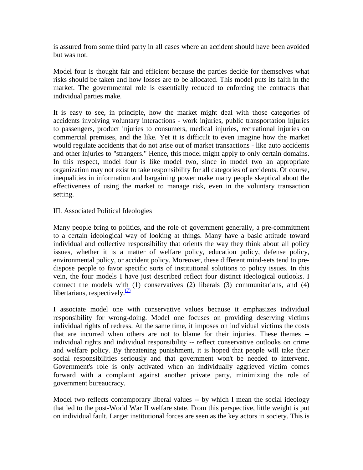is assured from some third party in all cases where an accident should have been avoided but was not.

Model four is thought fair and efficient because the parties decide for themselves what risks should be taken and how losses are to be allocated. This model puts its faith in the market. The governmental role is essentially reduced to enforcing the contracts that individual parties make.

It is easy to see, in principle, how the market might deal with those categories of accidents involving voluntary interactions - work injuries, public transportation injuries to passengers, product injuries to consumers, medical injuries, recreational injuries on commercial premises, and the like. Yet it is difficult to even imagine how the market would regulate accidents that do not arise out of market transactions - like auto accidents and other injuries to "strangers." Hence, this model might apply to only certain domains. In this respect, model four is like model two, since in model two an appropriate organization may not exist to take responsibility for all categories of accidents. Of course, inequalities in information and bargaining power make many people skeptical about the effectiveness of using the market to manage risk, even in the voluntary transaction setting.

#### III. Associated Political Ideologies

Many people bring to politics, and the role of government generally, a pre-commitment to a certain ideological way of looking at things. Many have a basic attitude toward individual and collective responsibility that orients the way they think about all policy issues, whether it is a matter of welfare policy, education policy, defense policy, environmental policy, or accident policy. Moreover, these different mind-sets tend to predispose people to favor specific sorts of institutional solutions to policy issues. In this vein, the four models I have just described reflect four distinct ideological outlooks. I connect the models with (1) conservatives (2) liberals (3) communitarians, and (4) libertarians, respectively. $(7)$ 

I associate model one with conservative values because it emphasizes individual responsibility for wrong-doing. Model one focuses on providing deserving victims individual rights of redress. At the same time, it imposes on individual victims the costs that are incurred when others are not to blame for their injuries. These themes - individual rights and individual responsibility -- reflect conservative outlooks on crime and welfare policy. By threatening punishment, it is hoped that people will take their social responsibilities seriously and that government won't be needed to intervene. Government's role is only activated when an individually aggrieved victim comes forward with a complaint against another private party, minimizing the role of government bureaucracy.

Model two reflects contemporary liberal values -- by which I mean the social ideology that led to the post-World War II welfare state. From this perspective, little weight is put on individual fault. Larger institutional forces are seen as the key actors in society. This is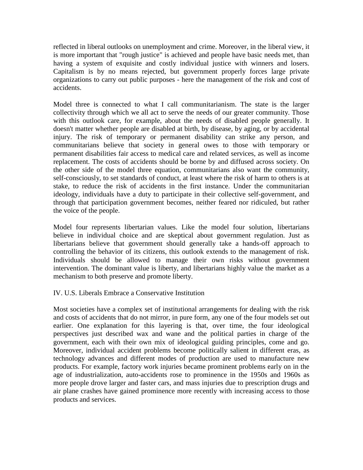reflected in liberal outlooks on unemployment and crime. Moreover, in the liberal view, it is more important that "rough justice" is achieved and people have basic needs met, than having a system of exquisite and costly individual justice with winners and losers. Capitalism is by no means rejected, but government properly forces large private organizations to carry out public purposes - here the management of the risk and cost of accidents.

Model three is connected to what I call communitarianism. The state is the larger collectivity through which we all act to serve the needs of our greater community. Those with this outlook care, for example, about the needs of disabled people generally. It doesn't matter whether people are disabled at birth, by disease, by aging, or by accidental injury. The risk of temporary or permanent disability can strike any person, and communitarians believe that society in general owes to those with temporary or permanent disabilities fair access to medical care and related services, as well as income replacement. The costs of accidents should be borne by and diffused across society. On the other side of the model three equation, communitarians also want the community, self-consciously, to set standards of conduct, at least where the risk of harm to others is at stake, to reduce the risk of accidents in the first instance. Under the communitarian ideology, individuals have a duty to participate in their collective self-government, and through that participation government becomes, neither feared nor ridiculed, but rather the voice of the people.

Model four represents libertarian values. Like the model four solution, libertarians believe in individual choice and are skeptical about government regulation. Just as libertarians believe that government should generally take a hands-off approach to controlling the behavior of its citizens, this outlook extends to the management of risk. Individuals should be allowed to manage their own risks without government intervention. The dominant value is liberty, and libertarians highly value the market as a mechanism to both preserve and promote liberty.

IV. U.S. Liberals Embrace a Conservative Institution

Most societies have a complex set of institutional arrangements for dealing with the risk and costs of accidents that do not mirror, in pure form, any one of the four models set out earlier. One explanation for this layering is that, over time, the four ideological perspectives just described wax and wane and the political parties in charge of the government, each with their own mix of ideological guiding principles, come and go. Moreover, individual accident problems become politically salient in different eras, as technology advances and different modes of production are used to manufacture new products. For example, factory work injuries became prominent problems early on in the age of industrialization, auto-accidents rose to prominence in the 1950s and 1960s as more people drove larger and faster cars, and mass injuries due to prescription drugs and air plane crashes have gained prominence more recently with increasing access to those products and services.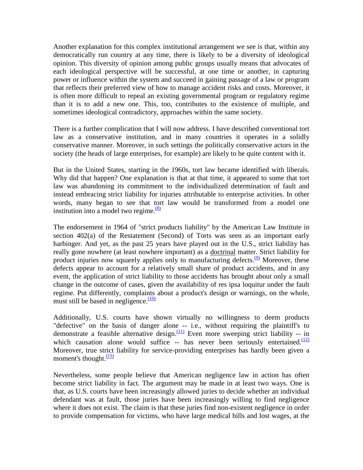Another explanation for this complex institutional arrangement we see is that, within any democratically run country at any time, there is likely to be a diversity of ideological opinion. This diversity of opinion among public groups usually means that advocates of each ideological perspective will be successful, at one time or another, in capturing power or influence within the system and succeed in gaining passage of a law or program that reflects their preferred view of how to manage accident risks and costs. Moreover, it is often more difficult to repeal an existing governmental program or regulatory regime than it is to add a new one. This, too, contributes to the existence of multiple, and sometimes ideological contradictory, approaches within the same society.

There is a further complication that I will now address. I have described conventional tort law as a conservative institution, and in many countries it operates in a solidly conservative manner. Moreover, in such settings the politically conservative actors in the society (the heads of large enterprises, for example) are likely to be quite content with it.

But in the United States, starting in the 1960s, tort law became identified with liberals. Why did that happen? One explanation is that at that time, it appeared to some that tort law was abandoning its commitment to the individualized determination of fault and instead embracing strict liability for injuries attributable to enterprise activities. In other words, many began to see that tort law would be transformed from a model one institution into a model two regime. $\frac{(8)}{8}$ 

The endorsement in 1964 of "strict products liability" by the American Law Institute in section 402(a) of the Restatement (Second) of Torts was seen as an important early harbinger. And yet, as the past 25 years have played out in the U.S., strict liability has really gone nowhere (at least nowhere important) as a doctrinal matter. Strict liability for product injuries now squarely applies only to manufacturing defects.  $\frac{9}{9}$  Moreover, these defects appear to account for a relatively small share of product accidents, and in any event, the application of strict liability to those accidents has brought about only a small change in the outcome of cases, given the availability of res ipsa loquitur under the fault regime. Put differently, complaints about a product's design or warnings, on the whole, must still be based in negligence. $\frac{(10)}{2}$ 

Additionally, U.S. courts have shown virtually no willingness to deem products "defective" on the basis of danger alone -- i.e., without requiring the plaintiff's to demonstrate a feasible alternative design. $\frac{(11)}{2}$  Even more sweeping strict liability -- in which causation alone would suffice  $-$  has never been seriously entertained.<sup>(12)</sup> Moreover, true strict liability for service-providing enterprises has hardly been given a moment's thought. $\frac{(13)}{2}$ 

Nevertheless, some people believe that American negligence law in action has often become strict liability in fact. The argument may be made in at least two ways. One is that, as U.S. courts have been increasingly allowed juries to decide whether an individual defendant was at fault, those juries have been increasingly willing to find negligence where it does not exist. The claim is that these juries find non-existent negligence in order to provide compensation for victims, who have large medical bills and lost wages, at the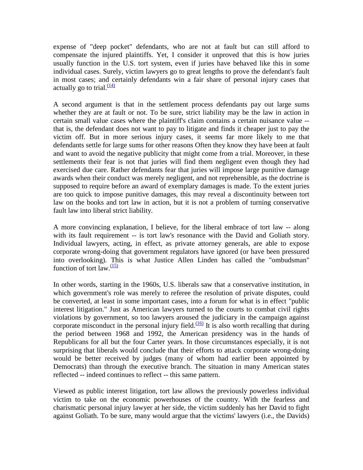expense of "deep pocket" defendants, who are not at fault but can still afford to compensate the injured plaintiffs. Yet, I consider it unproved that this is how juries usually function in the U.S. tort system, even if juries have behaved like this in some individual cases. Surely, victim lawyers go to great lengths to prove the defendant's fault in most cases; and certainly defendants win a fair share of personal injury cases that actually go to trial. $\frac{(14)}{1}$ 

A second argument is that in the settlement process defendants pay out large sums whether they are at fault or not. To be sure, strict liability may be the law in action in certain small value cases where the plaintiff's claim contains a certain nuisance value - that is, the defendant does not want to pay to litigate and finds it cheaper just to pay the victim off. But in more serious injury cases, it seems far more likely to me that defendants settle for large sums for other reasons Often they know they have been at fault and want to avoid the negative publicity that might come from a trial. Moreover, in these settlements their fear is not that juries will find them negligent even though they had exercised due care. Rather defendants fear that juries will impose large punitive damage awards when their conduct was merely negligent, and not reprehensible, as the doctrine is supposed to require before an award of exemplary damages is made. To the extent juries are too quick to impose punitive damages, this may reveal a discontinuity between tort law on the books and tort law in action, but it is not a problem of turning conservative fault law into liberal strict liability.

A more convincing explanation, I believe, for the liberal embrace of tort law -- along with its fault requirement -- is tort law's resonance with the David and Goliath story. Individual lawyers, acting, in effect, as private attorney generals, are able to expose corporate wrong-doing that government regulators have ignored (or have been pressured into overlooking). This is what Justice Allen Linden has called the "ombudsman" function of tort law. $\frac{(15)}{2}$ 

In other words, starting in the 1960s, U.S. liberals saw that a conservative institution, in which government's role was merely to referee the resolution of private disputes, could be converted, at least in some important cases, into a forum for what is in effect "public interest litigation." Just as American lawyers turned to the courts to combat civil rights violations by government, so too lawyers aroused the judiciary in the campaign against corporate misconduct in the personal injury field.<sup> $(16)$ </sup> It is also worth recalling that during the period between 1968 and 1992, the American presidency was in the hands of Republicans for all but the four Carter years. In those circumstances especially, it is not surprising that liberals would conclude that their efforts to attack corporate wrong-doing would be better received by judges (many of whom had earlier been appointed by Democrats) than through the executive branch. The situation in many American states reflected -- indeed continues to reflect -- this same pattern.

Viewed as public interest litigation, tort law allows the previously powerless individual victim to take on the economic powerhouses of the country. With the fearless and charismatic personal injury lawyer at her side, the victim suddenly has her David to fight against Goliath. To be sure, many would argue that the victims' lawyers (i.e., the Davids)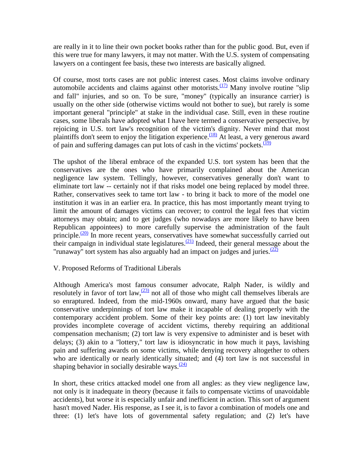are really in it to line their own pocket books rather than for the public good. But, even if this were true for many lawyers, it may not matter. With the U.S. system of compensating lawyers on a contingent fee basis, these two interests are basically aligned.

Of course, most torts cases are not public interest cases. Most claims involve ordinary automobile accidents and claims against other motorists. $(17)$  Many involve routine "slip" and fall" injuries, and so on. To be sure, "money" (typically an insurance carrier) is usually on the other side (otherwise victims would not bother to sue), but rarely is some important general "principle" at stake in the individual case. Still, even in these routine cases, some liberals have adopted what I have here termed a conservative perspective, by rejoicing in U.S. tort law's recognition of the victim's dignity. Never mind that most plaintiffs don't seem to enjoy the litigation experience.<sup> $(18)$ </sup> At least, a very generous award of pain and suffering damages can put lots of cash in the victims' pockets. $\frac{(19)}{(19)}$ 

The upshot of the liberal embrace of the expanded U.S. tort system has been that the conservatives are the ones who have primarily complained about the American negligence law system. Tellingly, however, conservatives generally don't want to eliminate tort law -- certainly not if that risks model one being replaced by model three. Rather, conservatives seek to tame tort law - to bring it back to more of the model one institution it was in an earlier era. In practice, this has most importantly meant trying to limit the amount of damages victims can recover; to control the legal fees that victim attorneys may obtain; and to get judges (who nowadays are more likely to have been Republican appointees) to more carefully supervise the administration of the fault principle. $\frac{(20)}{20}$  In more recent years, conservatives have somewhat successfully carried out their campaign in individual state legislatures.<sup>[\(21\)](http://www.law.berkeley.edu/faculty/sugarmans/Linden.htm#N_21_)</sup> Indeed, their general message about the "runaway" tort system has also arguably had an impact on judges and juries. $\frac{(22)}{2}$  $\frac{(22)}{2}$  $\frac{(22)}{2}$ 

#### V. Proposed Reforms of Traditional Liberals

Although America's most famous consumer advocate, Ralph Nader, is wildly and resolutely in favor of tort law,  $\frac{(23)}{2}$  not all of those who might call themselves liberals are so enraptured. Indeed, from the mid-1960s onward, many have argued that the basic conservative underpinnings of tort law make it incapable of dealing properly with the contemporary accident problem. Some of their key points are: (1) tort law inevitably provides incomplete coverage of accident victims, thereby requiring an additional compensation mechanism; (2) tort law is very expensive to administer and is beset with delays; (3) akin to a "lottery," tort law is idiosyncratic in how much it pays, lavishing pain and suffering awards on some victims, while denying recovery altogether to others who are identically or nearly identically situated; and (4) tort law is not successful in shaping behavior in socially desirable ways. $\frac{(24)}{24}$ 

In short, these critics attacked model one from all angles: as they view negligence law, not only is it inadequate in theory (because it fails to compensate victims of unavoidable accidents), but worse it is especially unfair and inefficient in action. This sort of argument hasn't moved Nader. His response, as I see it, is to favor a combination of models one and three: (1) let's have lots of governmental safety regulation; and (2) let's have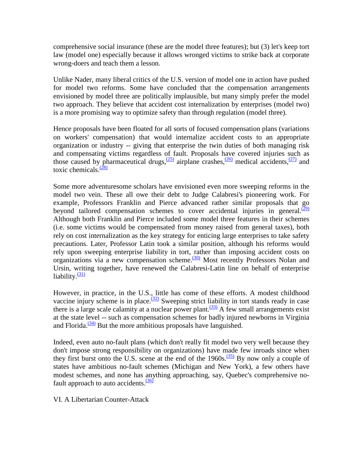comprehensive social insurance (these are the model three features); but (3) let's keep tort law (model one) especially because it allows wronged victims to strike back at corporate wrong-doers and teach them a lesson.

Unlike Nader, many liberal critics of the U.S. version of model one in action have pushed for model two reforms. Some have concluded that the compensation arrangements envisioned by model three are politically implausible, but many simply prefer the model two approach. They believe that accident cost internalization by enterprises (model two) is a more promising way to optimize safety than through regulation (model three).

Hence proposals have been floated for all sorts of focused compensation plans (variations on workers' compensation) that would internalize accident costs to an appropriate organization or industry -- giving that enterprise the twin duties of both managing risk and compensating victims regardless of fault. Proposals have covered injuries such as those caused by pharmaceutical drugs,  $\frac{(25)}{2}$  airplane crashes,  $\frac{(26)}{2}$  medical accidents,  $\frac{(27)}{2}$  and toxic chemicals. $\frac{(28)}{28}$  $\frac{(28)}{28}$  $\frac{(28)}{28}$ 

Some more adventuresome scholars have envisioned even more sweeping reforms in the model two vein. These all owe their debt to Judge Calabresi's pioneering work. For example, Professors Franklin and Pierce advanced rather similar proposals that go beyond tailored compensation schemes to cover accidental injuries in general. $(29)$ Although both Franklin and Pierce included some model three features in their schemes (i.e. some victims would be compensated from money raised from general taxes), both rely on cost internalization as the key strategy for enticing large enterprises to take safety precautions. Later, Professor Latin took a similar position, although his reforms would rely upon sweeping enterprise liability in tort, rather than imposing accident costs on organizations via a new compensation scheme.<sup>(30)</sup> Most recently Professors Nolan and Ursin, writing together, have renewed the Calabresi-Latin line on behalf of enterprise liability. $\frac{(31)}{2}$ 

However, in practice, in the U.S., little has come of these efforts. A modest childhood vaccine injury scheme is in place.<sup>(32)</sup> Sweeping strict liability in tort stands ready in case there is a large scale calamity at a nuclear power plant.<sup> $(33)$ </sup> A few small arrangements exist at the state level -- such as compensation schemes for badly injured newborns in Virginia and Florida. $\frac{(34)}{2}$  But the more ambitious proposals have languished.

Indeed, even auto no-fault plans (which don't really fit model two very well because they don't impose strong responsibility on organizations) have made few inroads since when they first burst onto the U.S. scene at the end of the 1960s.<sup>(35)</sup> By now only a couple of states have ambitious no-fault schemes (Michigan and New York), a few others have modest schemes, and none has anything approaching, say, Quebec's comprehensive nofault approach to auto accidents. $\frac{(36)}{2}$  $\frac{(36)}{2}$  $\frac{(36)}{2}$ 

VI. A Libertarian Counter-Attack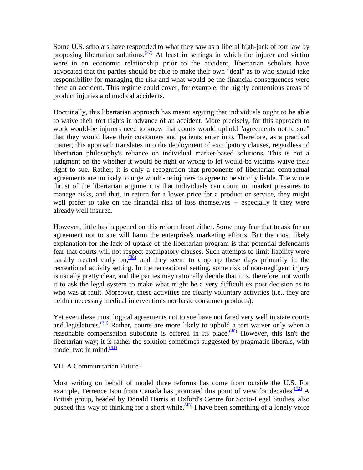Some U.S. scholars have responded to what they saw as a liberal high-jack of tort law by proposing libertarian solutions. $\frac{(37)}{2}$  At least in settings in which the injurer and victim were in an economic relationship prior to the accident, libertarian scholars have advocated that the parties should be able to make their own "deal" as to who should take responsibility for managing the risk and what would be the financial consequences were there an accident. This regime could cover, for example, the highly contentious areas of product injuries and medical accidents.

Doctrinally, this libertarian approach has meant arguing that individuals ought to be able to waive their tort rights in advance of an accident. More precisely, for this approach to work would-be injurers need to know that courts would uphold "agreements not to sue" that they would have their customers and patients enter into. Therefore, as a practical matter, this approach translates into the deployment of exculpatory clauses, regardless of libertarian philosophy's reliance on individual market-based solutions. This is not a judgment on the whether it would be right or wrong to let would-be victims waive their right to sue. Rather, it is only a recognition that proponents of libertarian contractual agreements are unlikely to urge would-be injurers to agree to be strictly liable. The whole thrust of the libertarian argument is that individuals can count on market pressures to manage risks, and that, in return for a lower price for a product or service, they might well prefer to take on the financial risk of loss themselves -- especially if they were already well insured.

However, little has happened on this reform front either. Some may fear that to ask for an agreement not to sue will harm the enterprise's marketing efforts. But the most likely explanation for the lack of uptake of the libertarian program is that potential defendants fear that courts will not respect exculpatory clauses. Such attempts to limit liability were harshly treated early on,  $\frac{(38)}{8}$  and they seem to crop up these days primarily in the recreational activity setting. In the recreational setting, some risk of non-negligent injury is usually pretty clear, and the parties may rationally decide that it is, therefore, not worth it to ask the legal system to make what might be a very difficult ex post decision as to who was at fault. Moreover, these activities are clearly voluntary activities (i.e., they are neither necessary medical interventions nor basic consumer products).

Yet even these most logical agreements not to sue have not fared very well in state courts and legislatures. $\frac{(39)}{20}$  $\frac{(39)}{20}$  $\frac{(39)}{20}$  Rather, courts are more likely to uphold a tort waiver only when a reasonable compensation substitute is offered in its place. $\frac{(40)}{(40)}$  However, this isn't the libertarian way; it is rather the solution sometimes suggested by pragmatic liberals, with model two in mind. $\frac{(41)}{2}$  $\frac{(41)}{2}$  $\frac{(41)}{2}$ 

#### VII. A Communitarian Future?

Most writing on behalf of model three reforms has come from outside the U.S. For example, Terrence Ison from Canada has promoted this point of view for decades.  $\frac{(42)}{4}$  A British group, headed by Donald Harris at Oxford's Centre for Socio-Legal Studies, also pushed this way of thinking for a short while.<sup> $(43)$ </sup> I have been something of a lonely voice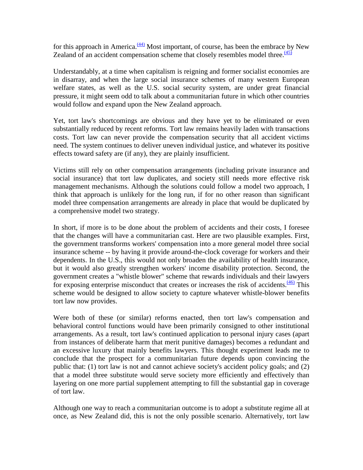for this approach in America. $\frac{(44)}{4}$  Most important, of course, has been the embrace by New Zealand of an accident compensation scheme that closely resembles model three. $\frac{(45)}{(45)}$ 

Understandably, at a time when capitalism is reigning and former socialist economies are in disarray, and when the large social insurance schemes of many western European welfare states, as well as the U.S. social security system, are under great financial pressure, it might seem odd to talk about a communitarian future in which other countries would follow and expand upon the New Zealand approach.

Yet, tort law's shortcomings are obvious and they have yet to be eliminated or even substantially reduced by recent reforms. Tort law remains heavily laden with transactions costs. Tort law can never provide the compensation security that all accident victims need. The system continues to deliver uneven individual justice, and whatever its positive effects toward safety are (if any), they are plainly insufficient.

Victims still rely on other compensation arrangements (including private insurance and social insurance) that tort law duplicates, and society still needs more effective risk management mechanisms. Although the solutions could follow a model two approach, I think that approach is unlikely for the long run, if for no other reason than significant model three compensation arrangements are already in place that would be duplicated by a comprehensive model two strategy.

In short, if more is to be done about the problem of accidents and their costs, I foresee that the changes will have a communitarian cast. Here are two plausible examples. First, the government transforms workers' compensation into a more general model three social insurance scheme -- by having it provide around-the-clock coverage for workers and their dependents. In the U.S., this would not only broaden the availability of health insurance, but it would also greatly strengthen workers' income disability protection. Second, the government creates a "whistle blower" scheme that rewards individuals and their lawyers for exposing enterprise misconduct that creates or increases the risk of accidents. $\frac{(46)}{10}$  This scheme would be designed to allow society to capture whatever whistle-blower benefits tort law now provides.

Were both of these (or similar) reforms enacted, then tort law's compensation and behavioral control functions would have been primarily consigned to other institutional arrangements. As a result, tort law's continued application to personal injury cases (apart from instances of deliberate harm that merit punitive damages) becomes a redundant and an excessive luxury that mainly benefits lawyers. This thought experiment leads me to conclude that the prospect for a communitarian future depends upon convincing the public that: (1) tort law is not and cannot achieve society's accident policy goals; and (2) that a model three substitute would serve society more efficiently and effectively than layering on one more partial supplement attempting to fill the substantial gap in coverage of tort law.

Although one way to reach a communitarian outcome is to adopt a substitute regime all at once, as New Zealand did, this is not the only possible scenario. Alternatively, tort law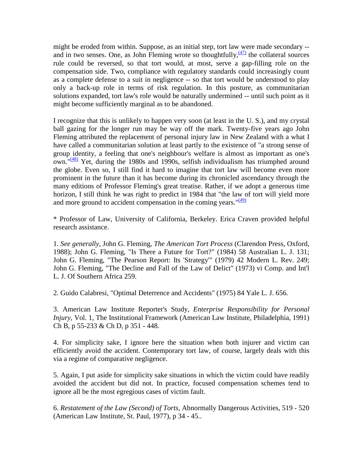might be eroded from within. Suppose, as an initial step, tort law were made secondary - and in two senses. One, as John Fleming wrote so thoughtfully,  $\frac{(47)}{12}$  $\frac{(47)}{12}$  $\frac{(47)}{12}$  the collateral sources rule could be reversed, so that tort would, at most, serve a gap-filling role on the compensation side. Two, compliance with regulatory standards could increasingly count as a complete defense to a suit in negligence -- so that tort would be understood to play only a back-up role in terms of risk regulation. In this posture, as communitarian solutions expanded, tort law's role would be naturally undermined -- until such point as it might become sufficiently marginal as to be abandoned.

I recognize that this is unlikely to happen very soon (at least in the U. S.), and my crystal ball gazing for the longer run may be way off the mark. Twenty-five years ago John Fleming attributed the replacement of personal injury law in New Zealand with a what I have called a communitarian solution at least partly to the existence of "a strong sense of group identity, a feeling that one's neighbour's welfare is almost as important as one's own." $\frac{(48)}{120}$  Yet, during the 1980s and 1990s, selfish individualism has triumphed around the globe. Even so, I still find it hard to imagine that tort law will become even more prominent in the future than it has become during its chronicled ascendancy through the many editions of Professor Fleming's great treatise. Rather, if we adopt a generous time horizon, I still think he was right to predict in 1984 that "the law of tort will yield more and more ground to accident compensation in the coming years.  $\sqrt{49}$ 

\* Professor of Law, University of California, Berkeley. Erica Craven provided helpful research assistance.

1. *See generally*, John G. Fleming, *The American Tort Process* (Clarendon Press, Oxford, 1988); John G. Fleming, "Is There a Future for Tort?" (1984) 58 Australian L. J. 131; John G. Fleming, "The Pearson Report: Its 'Strategy'" (1979) 42 Modern L. Rev. 249; John G. Fleming, "The Decline and Fall of the Law of Delict" (1973) vi Comp. and Int'l L. J. Of Southern Africa 259.

2. Guido Calabresi, "Optimal Deterrence and Accidents" (1975) 84 Yale L. J. 656.

3. American Law Institute Reporter's Study, *Enterprise Responsibility for Personal Injury*, Vol. 1, The Institutional Framework (American Law Institute, Philadelphia, 1991) Ch B, p 55-233 & Ch D, p 351 - 448.

4. For simplicity sake, I ignore here the situation when both injurer and victim can efficiently avoid the accident. Contemporary tort law, of course, largely deals with this via a regime of comparative negligence.

5. Again, I put aside for simplicity sake situations in which the victim could have readily avoided the accident but did not. In practice, focused compensation schemes tend to ignore all be the most egregious cases of victim fault.

6. *Restatement of the Law (Second) of Torts*, Abnormally Dangerous Activities, 519 - 520 (American Law Institute, St. Paul, 1977), p 34 - 45..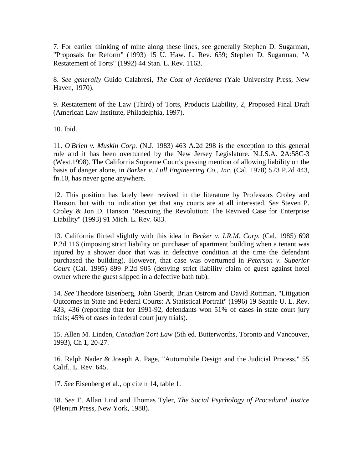7. For earlier thinking of mine along these lines, see generally Stephen D. Sugarman, "Proposals for Reform" (1993) 15 U. Haw. L. Rev. 659; Stephen D. Sugarman, "A Restatement of Torts" (1992) 44 Stan. L. Rev. 1163.

8. *See generally* Guido Calabresi, *The Cost of Accidents* (Yale University Press, New Haven, 1970).

9. Restatement of the Law (Third) of Torts, Products Liability, 2, Proposed Final Draft (American Law Institute, Philadelphia, 1997).

10. Ibid.

11. *O'Brien v. Muskin Corp.* (N.J. 1983) 463 A.2d 298 is the exception to this general rule and it has been overturned by the New Jersey Legislature. N.J.S.A. 2A:58C-3 (West.1998). The California Supreme Court's passing mention of allowing liability on the basis of danger alone, in *Barker v. Lull Engineering Co., Inc*. (Cal. 1978) 573 P.2d 443, fn.10, has never gone anywhere.

12. This position has lately been revived in the literature by Professors Croley and Hanson, but with no indication yet that any courts are at all interested. *See* Steven P. Croley & Jon D. Hanson "Rescuing the Revolution: The Revived Case for Enterprise Liability" (1993) 91 Mich. L. Rev. 683.

13. California flirted slightly with this idea in *Becker v. I.R.M. Corp.* (Cal. 1985) 698 P.2d 116 (imposing strict liability on purchaser of apartment building when a tenant was injured by a shower door that was in defective condition at the time the defendant purchased the building). However, that case was overturned in *Peterson v. Superior Court* (Cal. 1995) 899 P.2d 905 (denying strict liability claim of guest against hotel owner where the guest slipped in a defective bath tub).

14. *See* Theodore Eisenberg, John Goerdt, Brian Ostrom and David Rottman, "Litigation Outcomes in State and Federal Courts: A Statistical Portrait" (1996) 19 Seattle U. L. Rev. 433, 436 (reporting that for 1991-92, defendants won 51% of cases in state court jury trials; 45% of cases in federal court jury trials).

15. Allen M. Linden, *Canadian Tort Law* (5th ed. Butterworths, Toronto and Vancouver, 1993), Ch 1, 20-27.

16. Ralph Nader & Joseph A. Page, "Automobile Design and the Judicial Process," 55 Calif.. L. Rev. 645.

17. *See* Eisenberg et al., op cite n 14, table 1.

18. *See* E. Allan Lind and Thomas Tyler, *The Social Psychology of Procedural Justice* (Plenum Press, New York, 1988).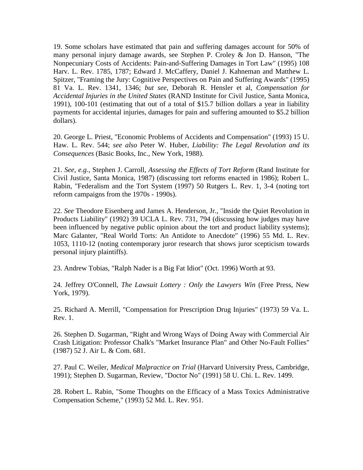19. Some scholars have estimated that pain and suffering damages account for 50% of many personal injury damage awards, see Stephen P. Croley & Jon D. Hanson, "The Nonpecuniary Costs of Accidents: Pain-and-Suffering Damages in Tort Law" (1995) 108 Harv. L. Rev. 1785, 1787; Edward J. McCaffery, Daniel J. Kahneman and Matthew L. Spitzer, "Framing the Jury: Cognitive Perspectives on Pain and Suffering Awards" (1995) 81 Va. L. Rev. 1341, 1346; *but see*, Deborah R. Hensler et al, *Compensation for Accidental Injuries in the United States* (RAND Institute for Civil Justice, Santa Monica, 1991), 100-101 (estimating that out of a total of \$15.7 billion dollars a year in liability payments for accidental injuries, damages for pain and suffering amounted to \$5.2 billion dollars).

20. George L. Priest, "Economic Problems of Accidents and Compensation" (1993) 15 U. Haw. L. Rev. 544; *see also* Peter W. Huber, *Liability: The Legal Revolution and its Consequences* (Basic Books, Inc., New York, 1988).

21. *See, e.g.,* Stephen J. Carroll, *Assessing the Effects of Tort Reform* (Rand Institute for Civil Justice, Santa Monica, 1987) (discussing tort reforms enacted in 1986); Robert L. Rabin, "Federalism and the Tort System (1997) 50 Rutgers L. Rev. 1, 3-4 (noting tort reform campaigns from the 1970s - 1990s).

22. *See* Theodore Eisenberg and James A. Henderson, Jr., "Inside the Quiet Revolution in Products Liability" (1992) 39 UCLA L. Rev. 731, 794 (discussing how judges may have been influenced by negative public opinion about the tort and product liability systems); Marc Galanter, "Real World Torts: An Antidote to Anecdote" (1996) 55 Md. L. Rev. 1053, 1110-12 (noting contemporary juror research that shows juror scepticism towards personal injury plaintiffs).

23. Andrew Tobias, "Ralph Nader is a Big Fat Idiot" (Oct. 1996) Worth at 93.

24. Jeffrey O'Connell, *The Lawsuit Lottery : Only the Lawyers Win* (Free Press, New York, 1979).

25. Richard A. Merrill, "Compensation for Prescription Drug Injuries" (1973) 59 Va. L. Rev. 1.

26. Stephen D. Sugarman, "Right and Wrong Ways of Doing Away with Commercial Air Crash Litigation: Professor Chalk's "Market Insurance Plan" and Other No-Fault Follies" (1987) 52 J. Air L. & Com. 681.

27. Paul C. Weiler, *Medical Malpractice on Trial* (Harvard University Press, Cambridge, 1991); Stephen D. Sugarman, Review, "Doctor No" (1991) 58 U. Chi. L. Rev. 1499.

28. Robert L. Rabin, "Some Thoughts on the Efficacy of a Mass Toxics Administrative Compensation Scheme," (1993) 52 Md. L. Rev. 951.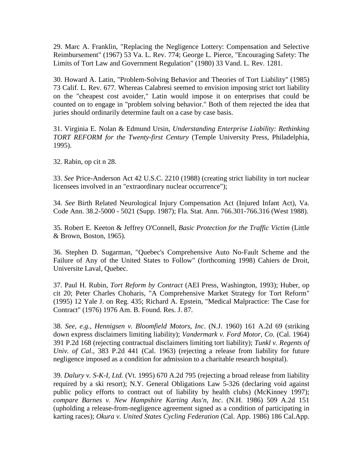29. Marc A. Franklin, "Replacing the Negligence Lottery: Compensation and Selective Reimbursement" (1967) 53 Va. L. Rev. 774; George L. Pierce, "Encouraging Safety: The Limits of Tort Law and Government Regulation" (1980) 33 Vand. L. Rev. 1281.

30. Howard A. Latin, "Problem-Solving Behavior and Theories of Tort Liability" (1985) 73 Calif. L. Rev. 677. Whereas Calabresi seemed to envision imposing strict tort liability on the "cheapest cost avoider," Latin would impose it on enterprises that could be counted on to engage in "problem solving behavior." Both of them rejected the idea that juries should ordinarily determine fault on a case by case basis.

31. Virginia E. Nolan & Edmund Ursin, *Understanding Enterprise Liability: Rethinking TORT REFORM for the Twenty-first Century* (Temple University Press, Philadelphia, 1995).

32. Rabin, op cit n 28.

33. *See* Price-Anderson Act 42 U.S.C. 2210 (1988) (creating strict liability in tort nuclear licensees involved in an "extraordinary nuclear occurrence");

34. *See* Birth Related Neurological Injury Compensation Act (Injured Infant Act), Va. Code Ann. 38.2-5000 - 5021 (Supp. 1987); Fla. Stat. Ann. 766.301-766.316 (West 1988).

35. Robert E. Keeton & Jeffrey O'Connell, *Basic Protection for the Traffic Victim* (Little & Brown, Boston, 1965).

36. Stephen D. Sugarman, "Quebec's Comprehensive Auto No-Fault Scheme and the Failure of Any of the United States to Follow" (forthcoming 1998) Cahiers de Droit, Universite Laval, Quebec.

37. Paul H. Rubin, *Tort Reform by Contract* (AEI Press, Washington, 1993); Huber, op cit 20; Peter Charles Choharis, "A Comprehensive Market Strategy for Tort Reform" (1995) 12 Yale J. on Reg. 435; Richard A. Epstein, "Medical Malpractice: The Case for Contract" (1976) 1976 Am. B. Found. Res. J. 87.

38. *See, e.g.*, *Hennigsen v. Bloomfield Motors, Inc*. (N.J. 1960) 161 A.2d 69 (striking down express disclaimers limiting liability); *Vandermark v. Ford Motor, Co.* (Cal. 1964) 391 P.2d 168 (rejecting contractual disclaimers limiting tort liability); *Tunkl v. Regents of Univ. of Cal.*, 383 P.2d 441 (Cal. 1963) (rejecting a release from liability for future negligence imposed as a condition for admission to a charitable research hospital).

39. *Dalury v. S-K-I, Ltd.* (Vt. 1995) 670 A.2d 795 (rejecting a broad release from liability required by a ski resort); N.Y. General Obligations Law 5-326 (declaring void against public policy efforts to contract out of liability by health clubs) (McKinney 1997); *compare Barnes v. New Hampshire Karting Ass'n, Inc*. (N.H. 1986) 509 A.2d 151 (upholding a release-from-negligence agreement signed as a condition of participating in karting races); *Okura v. United States Cycling Federation* (Cal. App. 1986) 186 Cal.App.